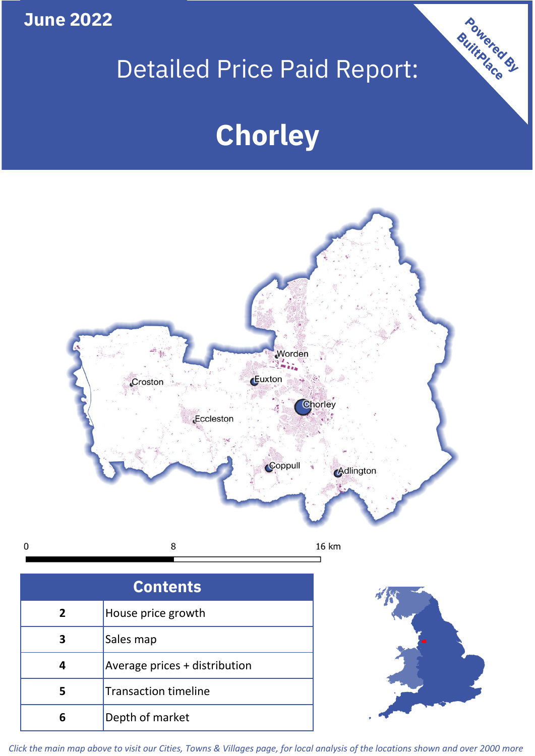**June 2022**

 $\mathbf 0$ 

## Detailed Price Paid Report:

# **Chorley**



| <b>Contents</b> |                               |  |  |
|-----------------|-------------------------------|--|--|
| $\overline{2}$  | House price growth            |  |  |
| 3               | Sales map                     |  |  |
|                 | Average prices + distribution |  |  |
| 5               | <b>Transaction timeline</b>   |  |  |
| 6               | Depth of market               |  |  |



Powered By

*Click the main map above to visit our Cities, Towns & Villages page, for local analysis of the locations shown and over 2000 more*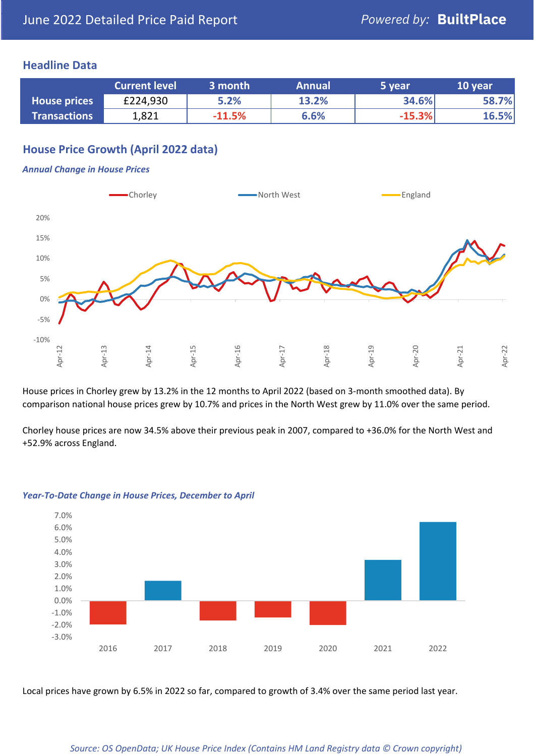## **Headline Data**

|                     | <b>Current level</b> | 3 month  | <b>Annual</b> | 5 year   | 10 year |
|---------------------|----------------------|----------|---------------|----------|---------|
| <b>House prices</b> | £224,930             | 5.2%     | 13.2%         | 34.6%    | 58.7%   |
| <b>Transactions</b> | 1,821                | $-11.5%$ | 6.6%          | $-15.3%$ | 16.5%   |

## **House Price Growth (April 2022 data)**

#### *Annual Change in House Prices*



House prices in Chorley grew by 13.2% in the 12 months to April 2022 (based on 3-month smoothed data). By comparison national house prices grew by 10.7% and prices in the North West grew by 11.0% over the same period.

Chorley house prices are now 34.5% above their previous peak in 2007, compared to +36.0% for the North West and +52.9% across England.



#### *Year-To-Date Change in House Prices, December to April*

Local prices have grown by 6.5% in 2022 so far, compared to growth of 3.4% over the same period last year.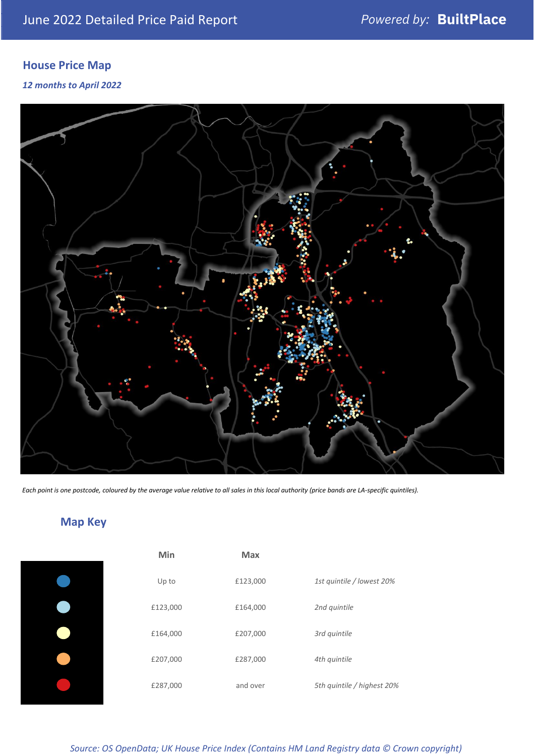## **House Price Map**

#### *12 months to April 2022*



*Each point is one postcode, coloured by the average value relative to all sales in this local authority (price bands are LA-specific quintiles).*

## **Map Key**

| Min      | <b>Max</b> |              |
|----------|------------|--------------|
| Up to    | £123,000   | 1st quintile |
| £123,000 | £164,000   | 2nd quintile |
| £164,000 | £207,000   | 3rd quintile |
| £207,000 | £287,000   | 4th quintile |
| £287,000 | and over   | 5th quintile |
|          |            |              |

*Source: OS OpenData; UK House Price Index (Contains HM Land Registry data © Crown copyright)*

0% Up to £123,000 *1st quintile / lowest 20%*

5th quintile / highest 20%

2nd quintile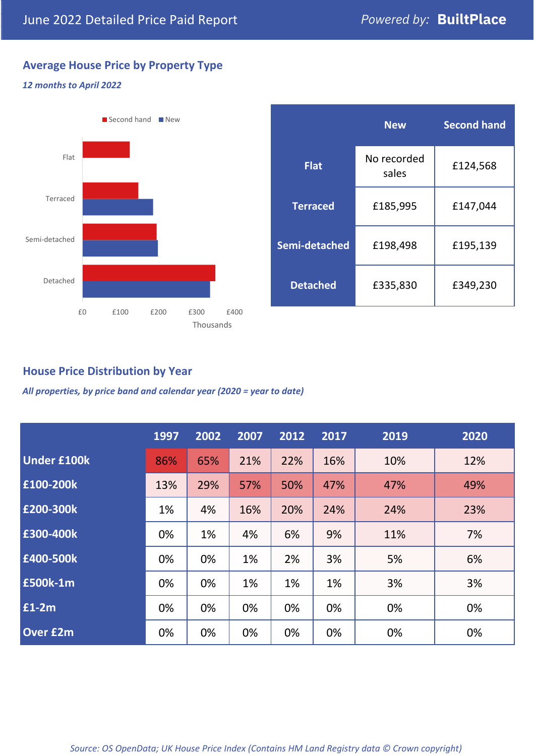## **Average House Price by Property Type**

#### *12 months to April 2022*



|                 | <b>New</b>           | <b>Second hand</b> |  |  |
|-----------------|----------------------|--------------------|--|--|
| <b>Flat</b>     | No recorded<br>sales | £124,568           |  |  |
| <b>Terraced</b> | £185,995             | £147,044           |  |  |
| Semi-detached   | £198,498             | £195,139           |  |  |
| <b>Detached</b> | £335,830             | £349,230           |  |  |

## **House Price Distribution by Year**

*All properties, by price band and calendar year (2020 = year to date)*

|                    | 1997 | 2002 | 2007 | 2012 | 2017 | 2019 | 2020 |
|--------------------|------|------|------|------|------|------|------|
| <b>Under £100k</b> | 86%  | 65%  | 21%  | 22%  | 16%  | 10%  | 12%  |
| £100-200k          | 13%  | 29%  | 57%  | 50%  | 47%  | 47%  | 49%  |
| E200-300k          | 1%   | 4%   | 16%  | 20%  | 24%  | 24%  | 23%  |
| £300-400k          | 0%   | 1%   | 4%   | 6%   | 9%   | 11%  | 7%   |
| £400-500k          | 0%   | 0%   | 1%   | 2%   | 3%   | 5%   | 6%   |
| <b>£500k-1m</b>    | 0%   | 0%   | 1%   | 1%   | 1%   | 3%   | 3%   |
| £1-2m              | 0%   | 0%   | 0%   | 0%   | 0%   | 0%   | 0%   |
| <b>Over £2m</b>    | 0%   | 0%   | 0%   | 0%   | 0%   | 0%   | 0%   |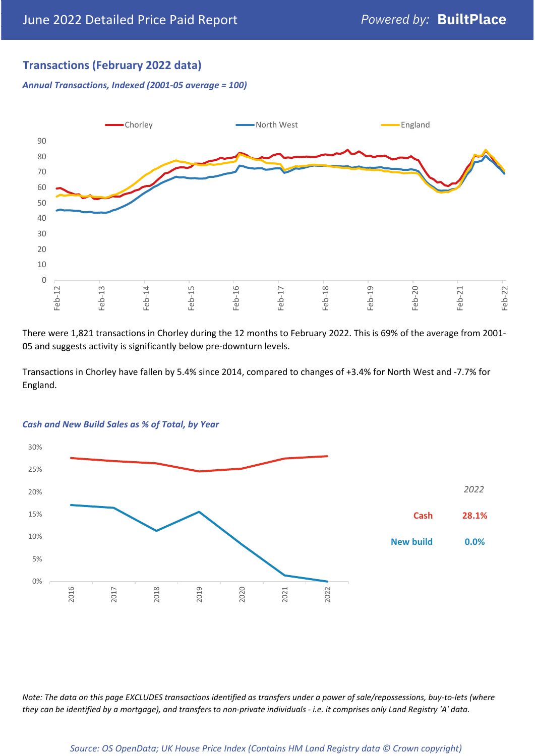## **Transactions (February 2022 data)**

*Annual Transactions, Indexed (2001-05 average = 100)*



There were 1,821 transactions in Chorley during the 12 months to February 2022. This is 69% of the average from 2001- 05 and suggests activity is significantly below pre-downturn levels.

Transactions in Chorley have fallen by 5.4% since 2014, compared to changes of +3.4% for North West and -7.7% for England.



#### *Cash and New Build Sales as % of Total, by Year*

*Note: The data on this page EXCLUDES transactions identified as transfers under a power of sale/repossessions, buy-to-lets (where they can be identified by a mortgage), and transfers to non-private individuals - i.e. it comprises only Land Registry 'A' data.*